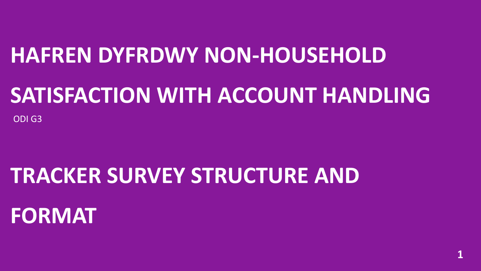# **HAFREN DYFRDWY NON-HOUSEHOLD**

# **SATISFACTION WITH ACCOUNT HANDLING**

ODI G3

# **TRACKER SURVEY STRUCTURE AND**

# **FORMAT**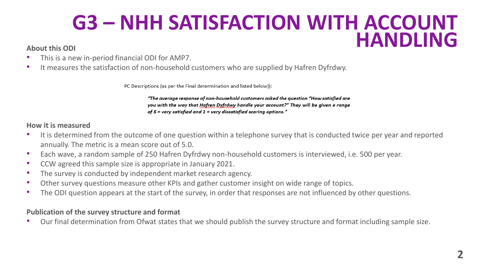### **G3 – NHH SATISFACTION WITH ACCOUNT**  About this ODI<br>**About this ODI**

- This is a new in-period financial ODI for AMP7.
- It measures the satisfaction of non-household customers who are supplied by Hafren Dyfrdwy.

PC Descriptions (as per the Final determination and listed below)):

"The average response of non-household customers asked the auestion "How satisfied are you with the way that Hafren Dyfrdwy handle your account?" They will be given a range of 5 = very satisfied and  $1$  = very dissatisfied scoring options."

### **How it is measured**

- It is determined from the outcome of one question within a telephone survey that is conducted twice per year and reported annually. The metric is a mean score out of 5.0.
- Each wave, a random sample of 250 Hafren Dyfrdwy non-household customers is interviewed, i.e. 500 per year.
- CCW agreed this sample size is appropriate in January 2021.
- The survey is conducted by independent market research agency.
- Other survey questions measure other KPIs and gather customer insight on wide range of topics.
- The ODI question appears at the start of the survey, in order that responses are not influenced by other questions.

### **Publication of the survey structure and format**

• Our final determination from Ofwat states that we should publish the survey structure and format including sample size.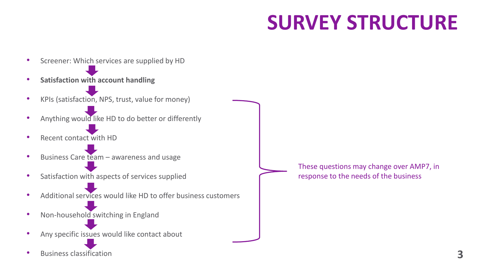## **SURVEY STRUCTURE**

- Screener: Which services are supplied by HD
- **Satisfaction with account handling**
- KPIs (satisfaction, NPS, trust, value for money)
- Anything would like HD to do better or differently
- Recent contact with HD
- Business Care team awareness and usage
- Satisfaction with aspects of services supplied
- Additional services would like HD to offer business customers
- Non-household switching in England
- Any specific issues would like contact about
- Business classification

These questions may change over AMP7, in response to the needs of the business